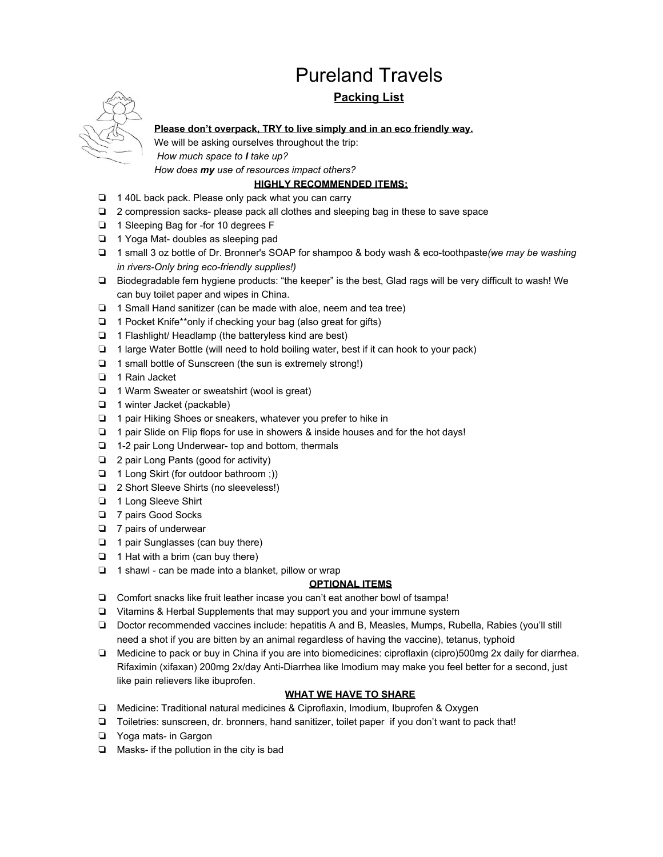# Pureland Travels

## **Packing List**



**Please don't overpack, TRY to live simply and in an eco friendly way.**

We will be asking ourselves throughout the trip:

 *How much space to I take up?*

*How does my use of resources impact others?*

## **HIGHLY RECOMMENDED ITEMS:**

- ❏ 1 40L back pack. Please only pack what you can carry
- ❏ 2 compression sacks- please pack all clothes and sleeping bag in these to save space
- ❏ 1 Sleeping Bag for -for 10 degrees F
- ❏ 1 Yoga Mat- doubles as sleeping pad
- ❏ 1 small 3 oz bottle of Dr. Bronner's SOAP for shampoo & body wash & eco-toothpaste*(we may be washing in rivers-Only bring eco-friendly supplies!)*
- ❏ Biodegradable fem hygiene products: "the keeper" is the best, Glad rags will be very difficult to wash! We can buy toilet paper and wipes in China.
- ❏ 1 Small Hand sanitizer (can be made with aloe, neem and tea tree)
- ❏ 1 Pocket Knife\*\*only if checking your bag (also great for gifts)
- ❏ 1 Flashlight/ Headlamp (the batteryless kind are best)
- ❏ 1 large Water Bottle (will need to hold boiling water, best if it can hook to your pack)
- ❏ 1 small bottle of Sunscreen (the sun is extremely strong!)
- ❏ 1 Rain Jacket
- ❏ 1 Warm Sweater or sweatshirt (wool is great)
- ❏ 1 winter Jacket (packable)
- ❏ 1 pair Hiking Shoes or sneakers, whatever you prefer to hike in
- ❏ 1 pair Slide on Flip flops for use in showers & inside houses and for the hot days!
- ❏ 1-2 pair Long Underwear- top and bottom, thermals
- ❏ 2 pair Long Pants (good for activity)
- ❏ 1 Long Skirt (for outdoor bathroom ;))
- ❏ 2 Short Sleeve Shirts (no sleeveless!)
- ❏ 1 Long Sleeve Shirt
- ❏ 7 pairs Good Socks
- ❏ 7 pairs of underwear
- ❏ 1 pair Sunglasses (can buy there)
- ❏ 1 Hat with a brim (can buy there)
- ❏ 1 shawl can be made into a blanket, pillow or wrap

## **OPTIONAL ITEMS**

- ❏ Comfort snacks like fruit leather incase you can't eat another bowl of tsampa!
- ❏ Vitamins & Herbal Supplements that may support you and your immune system
- ❏ Doctor recommended vaccines include: hepatitis A and B, Measles, Mumps, Rubella, Rabies (you'll still need a shot if you are bitten by an animal regardless of having the vaccine), tetanus, typhoid
- ❏ Medicine to pack or buy in China if you are into biomedicines: ciproflaxin (cipro)500mg 2x daily for diarrhea. Rifaximin (xifaxan) 200mg 2x/day Anti-Diarrhea like Imodium may make you feel better for a second, just like pain relievers like ibuprofen.

## **WHAT WE HAVE TO SHARE**

- ❏ Medicine: Traditional natural medicines & Ciproflaxin, Imodium, Ibuprofen & Oxygen
- ❏ Toiletries: sunscreen, dr. bronners, hand sanitizer, toilet paper if you don't want to pack that!
- ❏ Yoga mats- in Gargon
- ❏ Masks- if the pollution in the city is bad